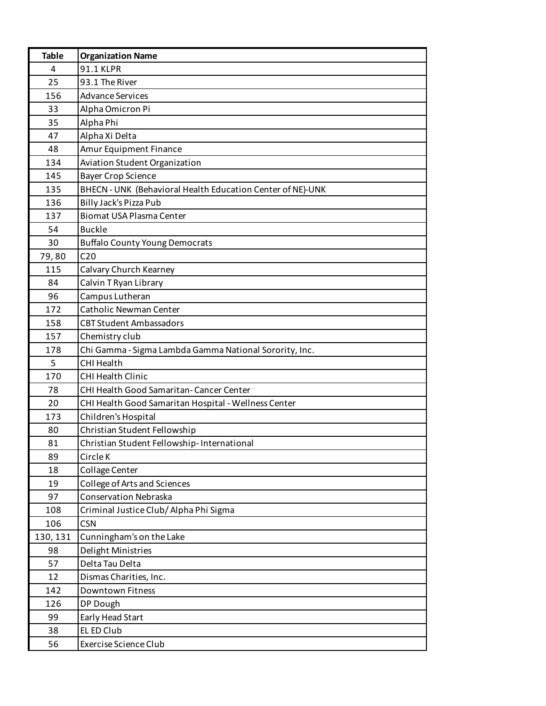| <b>Table</b> | <b>Organization Name</b>                                   |
|--------------|------------------------------------------------------------|
| 4            | 91.1 KLPR                                                  |
| 25           | 93.1 The River                                             |
| 156          | <b>Advance Services</b>                                    |
| 33           | Alpha Omicron Pi                                           |
| 35           | Alpha Phi                                                  |
| 47           | Alpha Xi Delta                                             |
| 48           | Amur Equipment Finance                                     |
| 134          | Aviation Student Organization                              |
| 145          | <b>Bayer Crop Science</b>                                  |
| 135          | BHECN - UNK (Behavioral Health Education Center of NE)-UNK |
| 136          | Billy Jack's Pizza Pub                                     |
| 137          | <b>Biomat USA Plasma Center</b>                            |
| 54           | <b>Buckle</b>                                              |
| 30           | <b>Buffalo County Young Democrats</b>                      |
| 79,80        | C <sub>20</sub>                                            |
| 115          | Calvary Church Kearney                                     |
| 84           | Calvin T Ryan Library                                      |
| 96           | Campus Lutheran                                            |
| 172          | <b>Catholic Newman Center</b>                              |
| 158          | <b>CBT Student Ambassadors</b>                             |
| 157          | Chemistry club                                             |
| 178          | Chi Gamma - Sigma Lambda Gamma National Sorority, Inc.     |
| 5            | <b>CHI Health</b>                                          |
| 170          | <b>CHI Health Clinic</b>                                   |
| 78           | CHI Health Good Samaritan-Cancer Center                    |
| 20           | CHI Health Good Samaritan Hospital - Wellness Center       |
| 173          | Children's Hospital                                        |
| 80           | Christian Student Fellowship                               |
| 81           | Christian Student Fellowship-International                 |
| 89           | Circle K                                                   |
| 18           | Collage Center                                             |
| 19           | College of Arts and Sciences                               |
| 97           | <b>Conservation Nebraska</b>                               |
| 108          | Criminal Justice Club/ Alpha Phi Sigma                     |
| 106          | <b>CSN</b>                                                 |
| 130, 131     | Cunningham's on the Lake                                   |
| 98           | Delight Ministries                                         |
| 57           | Delta Tau Delta                                            |
| 12           | Dismas Charities, Inc.                                     |
| 142          | Downtown Fitness                                           |
| 126          | DP Dough                                                   |
| 99           | Early Head Start                                           |
| 38           | EL ED Club                                                 |
| 56           | <b>Exercise Science Club</b>                               |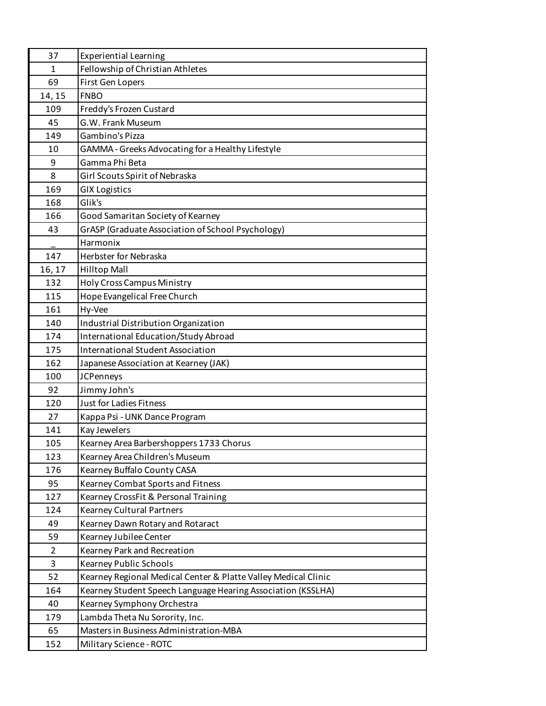| 37             | <b>Experiential Learning</b>                                   |
|----------------|----------------------------------------------------------------|
| $\mathbf{1}$   | Fellowship of Christian Athletes                               |
| 69             | First Gen Lopers                                               |
| 14, 15         | <b>FNBO</b>                                                    |
| 109            | Freddy's Frozen Custard                                        |
| 45             | G.W. Frank Museum                                              |
| 149            | Gambino's Pizza                                                |
| 10             | GAMMA - Greeks Advocating for a Healthy Lifestyle              |
| 9              | Gamma Phi Beta                                                 |
| 8              | Girl Scouts Spirit of Nebraska                                 |
| 169            | <b>GIX Logistics</b>                                           |
| 168            | Glik's                                                         |
| 166            | Good Samaritan Society of Kearney                              |
| 43             | GrASP (Graduate Association of School Psychology)              |
|                | Harmonix                                                       |
| 147            | Herbster for Nebraska                                          |
| 16, 17         | <b>Hilltop Mall</b>                                            |
| 132            | <b>Holy Cross Campus Ministry</b>                              |
| 115            | Hope Evangelical Free Church                                   |
| 161            | Hy-Vee                                                         |
| 140            | Industrial Distribution Organization                           |
| 174            | International Education/Study Abroad                           |
| 175            | <b>International Student Association</b>                       |
| 162            | Japanese Association at Kearney (JAK)                          |
| 100            | <b>JCPenneys</b>                                               |
| 92             | Jimmy John's                                                   |
| 120            | <b>Just for Ladies Fitness</b>                                 |
| 27             | Kappa Psi - UNK Dance Program                                  |
| 141            | Kay Jewelers                                                   |
| 105            | Kearney Area Barbershoppers 1733 Chorus                        |
| 123            | Kearney Area Children's Museum                                 |
| 176            | Kearney Buffalo County CASA                                    |
| 95             | Kearney Combat Sports and Fitness                              |
| 127            | Kearney CrossFit & Personal Training                           |
| 124            | <b>Kearney Cultural Partners</b>                               |
| 49             | Kearney Dawn Rotary and Rotaract                               |
| 59             | Kearney Jubilee Center                                         |
| $\overline{2}$ | Kearney Park and Recreation                                    |
| 3              | <b>Kearney Public Schools</b>                                  |
| 52             | Kearney Regional Medical Center & Platte Valley Medical Clinic |
| 164            | Kearney Student Speech Language Hearing Association (KSSLHA)   |
| 40             | Kearney Symphony Orchestra                                     |
| 179            | Lambda Theta Nu Sorority, Inc.                                 |
| 65             | Masters in Business Administration-MBA                         |
| 152            | Military Science - ROTC                                        |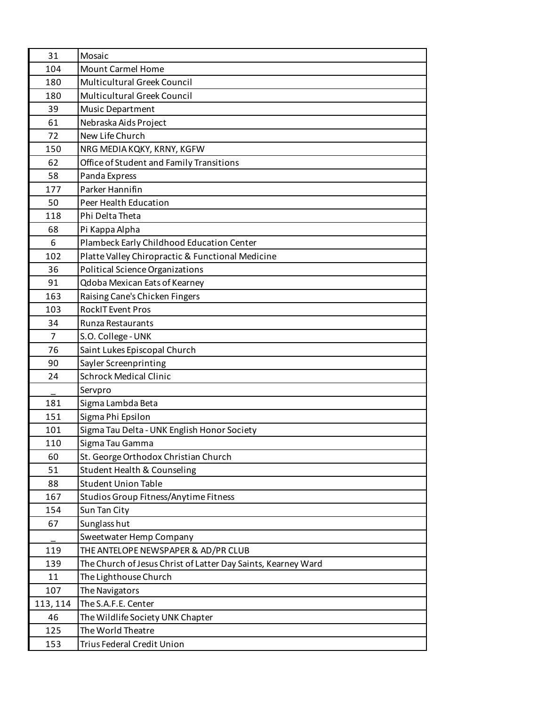| 31       | Mosaic                                                        |
|----------|---------------------------------------------------------------|
| 104      | <b>Mount Carmel Home</b>                                      |
| 180      | Multicultural Greek Council                                   |
| 180      | Multicultural Greek Council                                   |
| 39       | <b>Music Department</b>                                       |
| 61       | Nebraska Aids Project                                         |
| 72       | New Life Church                                               |
| 150      | NRG MEDIA KQKY, KRNY, KGFW                                    |
| 62       | Office of Student and Family Transitions                      |
| 58       | Panda Express                                                 |
| 177      | Parker Hannifin                                               |
| 50       | Peer Health Education                                         |
| 118      | Phi Delta Theta                                               |
| 68       | Pi Kappa Alpha                                                |
| 6        | Plambeck Early Childhood Education Center                     |
| 102      | Platte Valley Chiropractic & Functional Medicine              |
| 36       | <b>Political Science Organizations</b>                        |
| 91       | Qdoba Mexican Eats of Kearney                                 |
| 163      | Raising Cane's Chicken Fingers                                |
| 103      | <b>RockIT Event Pros</b>                                      |
| 34       | Runza Restaurants                                             |
| 7        | S.O. College - UNK                                            |
| 76       | Saint Lukes Episcopal Church                                  |
| 90       | Sayler Screenprinting                                         |
| 24       | <b>Schrock Medical Clinic</b>                                 |
|          | Servpro                                                       |
| 181      | Sigma Lambda Beta                                             |
| 151      | Sigma Phi Epsilon                                             |
| 101      | Sigma Tau Delta - UNK English Honor Society                   |
| 110      | Sigma Tau Gamma                                               |
| 60       | St. George Orthodox Christian Church                          |
| 51       | Student Health & Counseling                                   |
| 88       | <b>Student Union Table</b>                                    |
| 167      | Studios Group Fitness/Anytime Fitness                         |
| 154      | Sun Tan City                                                  |
| 67       | Sunglass hut                                                  |
|          | Sweetwater Hemp Company                                       |
| 119      | THE ANTELOPE NEWSPAPER & AD/PR CLUB                           |
| 139      | The Church of Jesus Christ of Latter Day Saints, Kearney Ward |
| 11       | The Lighthouse Church                                         |
| 107      | The Navigators                                                |
| 113, 114 | The S.A.F.E. Center                                           |
| 46       | The Wildlife Society UNK Chapter                              |
| 125      | The World Theatre                                             |
| 153      | Trius Federal Credit Union                                    |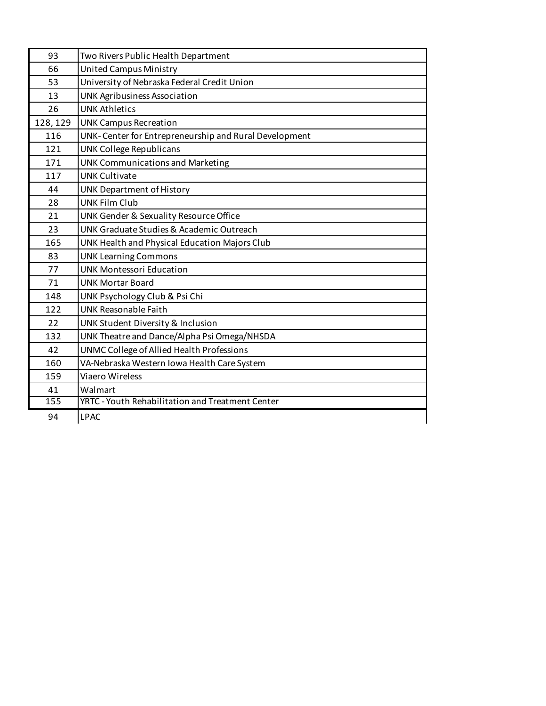| 93       | Two Rivers Public Health Department                   |
|----------|-------------------------------------------------------|
| 66       | <b>United Campus Ministry</b>                         |
| 53       | University of Nebraska Federal Credit Union           |
| 13       | <b>UNK Agribusiness Association</b>                   |
| 26       | <b>UNK Athletics</b>                                  |
| 128, 129 | <b>UNK Campus Recreation</b>                          |
| 116      | UNK-Center for Entrepreneurship and Rural Development |
| 121      | <b>UNK College Republicans</b>                        |
| 171      | <b>UNK Communications and Marketing</b>               |
| 117      | <b>UNK Cultivate</b>                                  |
| 44       | <b>UNK Department of History</b>                      |
| 28       | <b>UNK Film Club</b>                                  |
| 21       | UNK Gender & Sexuality Resource Office                |
| 23       | UNK Graduate Studies & Academic Outreach              |
| 165      | UNK Health and Physical Education Majors Club         |
| 83       | <b>UNK Learning Commons</b>                           |
| 77       | <b>UNK Montessori Education</b>                       |
| 71       | <b>UNK Mortar Board</b>                               |
| 148      | UNK Psychology Club & Psi Chi                         |
| 122      | <b>UNK Reasonable Faith</b>                           |
| 22       | UNK Student Diversity & Inclusion                     |
| 132      | UNK Theatre and Dance/Alpha Psi Omega/NHSDA           |
| 42       | UNMC College of Allied Health Professions             |
| 160      | VA-Nebraska Western Iowa Health Care System           |
| 159      | Viaero Wireless                                       |
| 41       | Walmart                                               |
| 155      | YRTC - Youth Rehabilitation and Treatment Center      |
| 94       | <b>LPAC</b>                                           |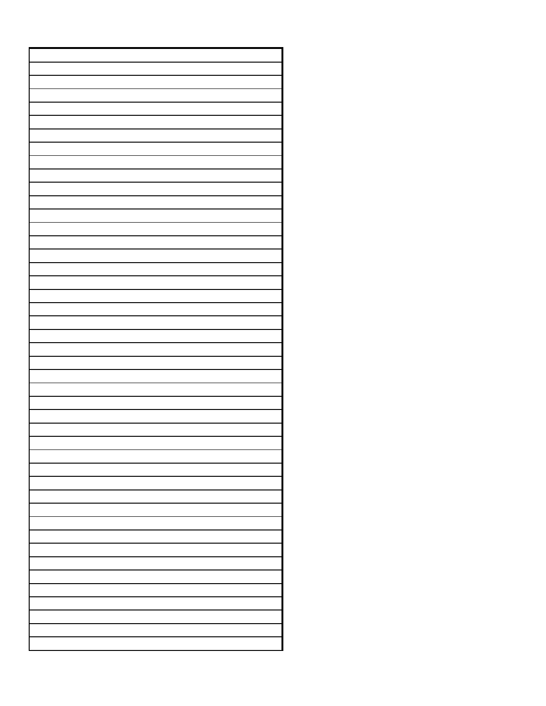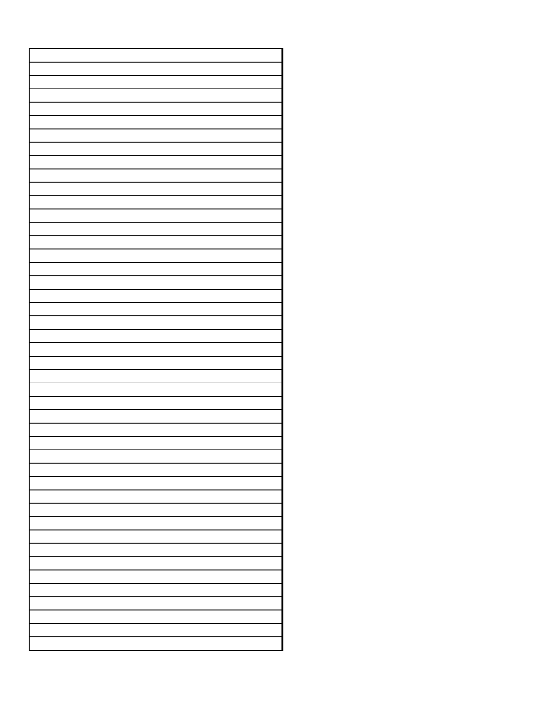